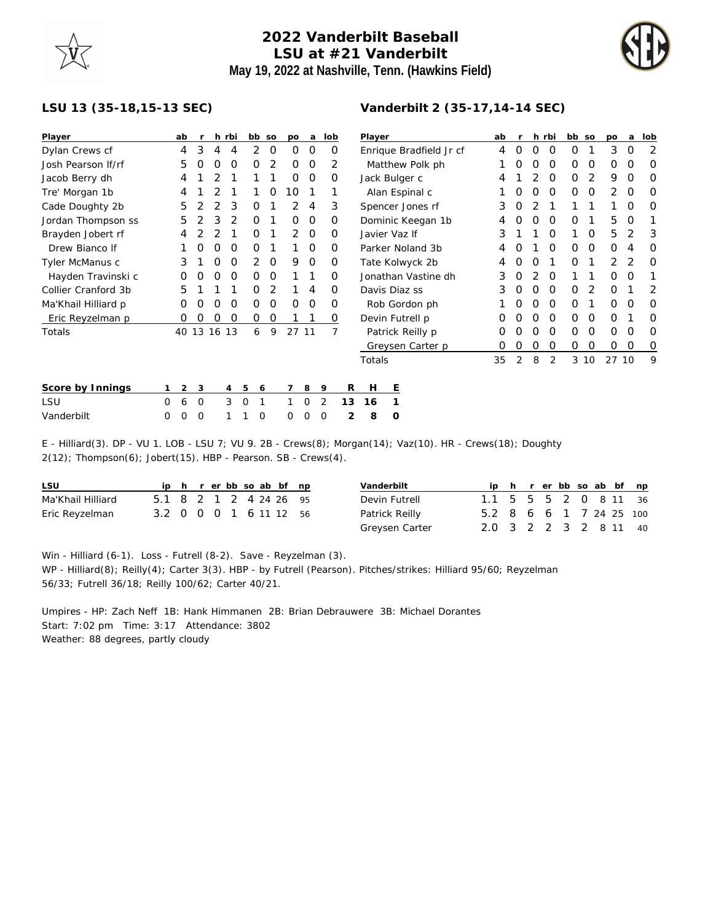## **2022 Vanderbilt Baseball LSU at #21 Vanderbilt May 19, 2022 at Nashville, Tenn. (Hawkins Field)**



## **LSU 13 (35-18,15-13 SEC)**

| Player              |   | ab |            |                  | h rbi    |             | bb so | po       | a        | lob |    | Player                  |               |                  |   | ab       |          | h rbi |          | bb so |    | po    | a        | lob      |
|---------------------|---|----|------------|------------------|----------|-------------|-------|----------|----------|-----|----|-------------------------|---------------|------------------|---|----------|----------|-------|----------|-------|----|-------|----------|----------|
| Dylan Crews cf      |   | 4  | 3          |                  | 4        | 2           | 0     | $\Omega$ | 0        | O   |    | Enrique Bradfield Jr cf |               | 4                | 0 | $\Omega$ | $\Omega$ | 0     | 1        | 3     | 0  | 2     |          |          |
| Josh Pearson If/rf  |   | 5  |            | Ω                | O        | 0           | 2     | $\Omega$ | $\Omega$ | 2   |    | Matthew Polk ph         |               |                  |   |          |          | O     | $\Omega$ | O     | O  | 0     | O        | O        |
| Jacob Berry dh      |   | 4  |            |                  |          |             |       | $\Omega$ | $\Omega$ | 0   |    | Jack Bulger c           |               |                  |   | 4        |          |       | $\Omega$ | O     | 2  | 9     | $\Omega$ | $\Omega$ |
| Tre' Morgan 1b      |   | 4  |            |                  |          |             | 0     | 10       |          |     |    | Alan Espinal c          |               |                  |   |          |          | O     | $\Omega$ | 0     | O  | 2     | O        | $\Omega$ |
| Cade Doughty 2b     |   | 5  |            |                  | 3        | 0           |       | 2        | 4        | 3   |    | Spencer Jones rf        |               |                  |   | 3        | O        |       |          |       |    |       | O        | $\Omega$ |
| Jordan Thompson ss  |   | 5  |            | 3                |          | O           |       | $\Omega$ | $\Omega$ | O   |    | Dominic Keegan 1b       |               |                  |   | 4        |          | O     | $\Omega$ | O     |    | 5     | O        |          |
| Brayden Jobert rf   |   | 4  |            |                  |          | Ο           |       | 2        | $\Omega$ | Ο   |    |                         | Javier Vaz If |                  |   | 3        |          |       | O        |       | O  | 5     |          | 3        |
| Drew Bianco If      |   |    |            |                  | $\Omega$ | Ο           |       |          | $\Omega$ | Ο   |    | Parker Noland 3b        |               |                  |   | 4        |          |       | $\Omega$ | 0     | O  | O     | 4        | $\Omega$ |
| Tyler McManus c     |   | 3  |            |                  | O        | 2           | 0     | 9        | 0        | O   |    | Tate Kolwyck 2b         |               |                  |   | 4        |          |       |          | 0     |    | 2     | 2        | O        |
| Hayden Travinski c  |   | O  | $\left($ ) | Ω                | 0        | 0           | 0     |          |          | 0   |    | Jonathan Vastine dh     |               |                  |   | 3        | O        |       | $\Omega$ |       |    | 0     | O        |          |
| Collier Cranford 3b |   | 5  |            |                  |          | O           | 2     |          | 4        | Ο   |    | Davis Diaz ss           |               |                  |   | 3        | O        | O     | $\Omega$ | 0     | 2  | O     |          | 2        |
| Ma'Khail Hilliard p |   | 0  | $\left($ ) | O                | O        | 0           | 0     | $\Omega$ | 0        | Ο   |    | Rob Gordon ph           |               |                  |   |          | O        | 0     | 0        | 0     |    | 0     | 0        | O        |
| Eric Reyzelman p    |   | 0  | $\left($ ) | $\left( \right)$ | O        | 0           | 0     |          |          | 0   |    | Devin Futrell p         |               |                  |   | O        |          |       | $\Omega$ | 0     | O  | 0     |          | $\Omega$ |
| Totals              |   |    |            | 40 13 16 13      |          | 6           | 9     | 27 11    |          |     |    |                         |               | Patrick Reilly p |   | O        |          | O     | $\Omega$ | 0     | 0  | 0     | $\Omega$ | 0        |
|                     |   |    |            |                  |          |             |       |          |          |     |    |                         |               | Greysen Carter p |   | O        | 0        | 0     | 0        | 0     | O  | 0     | O        | $\circ$  |
|                     |   |    |            |                  |          |             |       |          |          |     |    | Totals                  |               |                  |   | 35       | 2        | 8     | 2        | 3     | 10 | 27 10 |          | 9        |
| Score by Innings    |   | 2  | 3          |                  | 4        | 5           | 6     |          | 8        | 9   | R  | Н                       | Ε             |                  |   |          |          |       |          |       |    |       |          |          |
| LSU                 | 0 | 6  | 0          |                  | 3        | $\mathbf 0$ |       |          | 0        | 2   | 13 | 16                      |               |                  |   |          |          |       |          |       |    |       |          |          |
| Vanderbilt          | 0 | 0  | $\Omega$   |                  |          | $\Omega$    |       | 0        | 0        | 0   | 2  | 8                       | 0             |                  |   |          |          |       |          |       |    |       |          |          |

E - Hilliard(3). DP - VU 1. LOB - LSU 7; VU 9. 2B - Crews(8); Morgan(14); Vaz(10). HR - Crews(18); Doughty  $2(12)$ ; Thompson $(6)$ ; Jobert $(15)$ . HBP - Pearson. SB - Crews $(4)$ .

| LSU               |                        |  |  |  | ip h r er bb so ab bf np |  |
|-------------------|------------------------|--|--|--|--------------------------|--|
| Ma'Khail Hilliard | 5.1 8 2 1 2 4 24 26 95 |  |  |  |                          |  |
| Eric Reyzelman    | 3.2 0 0 0 1 6 11 12 56 |  |  |  |                          |  |

| Vanderbilt     |                         |  |  |  | ip h r er bb so ab bf np |
|----------------|-------------------------|--|--|--|--------------------------|
| Devin Futrell  | 1.1 5 5 5 2 0 8 11 36   |  |  |  |                          |
| Patrick Reilly | 5.2 8 6 6 1 7 24 25 100 |  |  |  |                          |
| Greysen Carter | 2.0 3 2 2 3 2 8 11 40   |  |  |  |                          |

Win - Hilliard (6-1). Loss - Futrell (8-2). Save - Reyzelman (3). WP - Hilliard(8); Reilly(4); Carter 3(3). HBP - by Futrell (Pearson). Pitches/strikes: Hilliard 95/60; Reyzelman 56/33; Futrell 36/18; Reilly 100/62; Carter 40/21.

Umpires - HP: Zach Neff 1B: Hank Himmanen 2B: Brian Debrauwere 3B: Michael Dorantes Start: 7:02 pm Time: 3:17 Attendance: 3802 Weather: 88 degrees, partly cloudy

## **Vanderbilt 2 (35-17,14-14 SEC)**